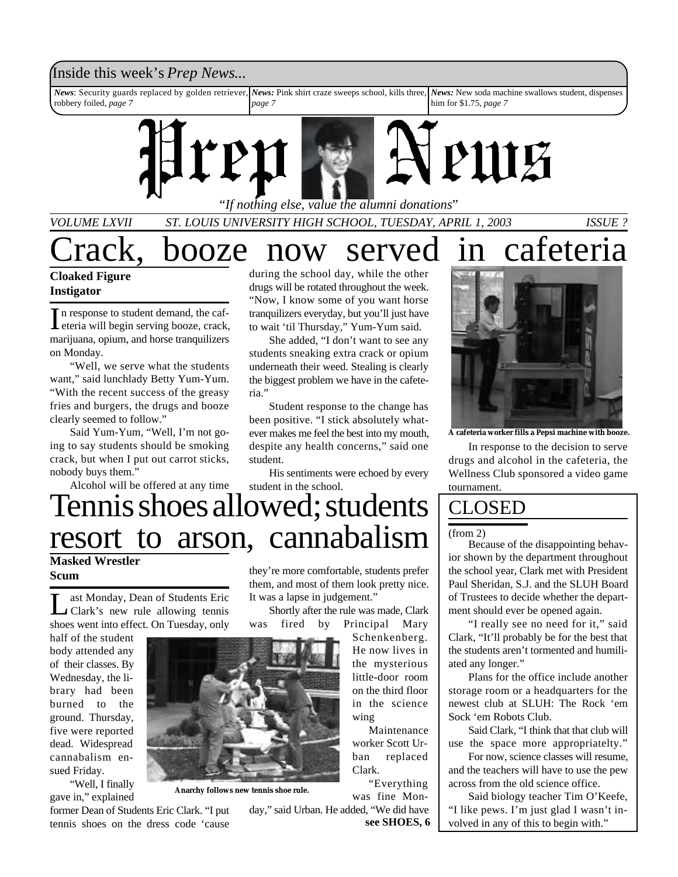### Inside this week's *Prep News*...

*News*: Security guards replaced by golden retriever, *News:* Pink shirt craze sweeps school, kills three, robbery foiled, *page 7 page 7 News:* New soda machine swallows student, dispenses him for \$1.75, *page 7*



*VOLUME LXVII ST. LOUIS UNIVERSITY HIGH SCHOOL, TUESDAY, APRIL 1, 2003 ISSUE ?*

rack, booze now served in cafeteria

### **Cloaked Figure Instigator**

In response to student demand, the caf-<br>deria will begin serving booze, crack, eteria will begin serving booze, crack, marijuana, opium, and horse tranquilizers on Monday.

"Well, we serve what the students want," said lunchlady Betty Yum-Yum. "With the recent success of the greasy fries and burgers, the drugs and booze clearly seemed to follow."

Said Yum-Yum, "Well, I'm not going to say students should be smoking crack, but when I put out carrot sticks, nobody buys them."

Alcohol will be offered at any time

during the school day, while the other drugs will be rotated throughout the week. "Now, I know some of you want horse tranquilizers everyday, but you'll just have to wait 'til Thursday," Yum-Yum said.

She added, "I don't want to see any students sneaking extra crack or opium underneath their weed. Stealing is clearly the biggest problem we have in the cafeteria."

Student response to the change has been positive. "I stick absolutely whatever makes me feel the best into my mouth, despite any health concerns," said one student.

His sentiments were echoed by every student in the school.

# Tennis shoes allowed; students resort to arson, cannabalism

### **Masked Wrestler Scum**

Let Monday, Dean of Students Eric<br>Clark's new rule allowing tennis ast Monday, Dean of Students Eric shoes went into effect. On Tuesday, only

half of the student body attended any of their classes. By Wednesday, the library had been burned to the ground. Thursday, five were reported dead. Widespread cannabalism ensued Friday.

"Well, I finally gave in," explained



**Anarchy follows new tennis shoe rule.**

former Dean of Students Eric Clark. "I put tennis shoes on the dress code 'cause

they're more comfortable, students prefer them, and most of them look pretty nice. It was a lapse in judgement."

Shortly after the rule was made, Clark was fired by Principal Mary

> Schenkenberg. He now lives in the mysterious little-door room on the third floor in the science wing

Maintenance worker Scott Urban replaced Clark.

"Everything was fine Mon-

day," said Urban. He added, "We did have **see SHOES, 6**



**A cafeteria worker fills a Pepsi machine with booze.**

In response to the decision to serve drugs and alcohol in the cafeteria, the Wellness Club sponsored a video game tournament.

### CLOSED

#### (from 2)

Because of the disappointing behavior shown by the department throughout the school year, Clark met with President Paul Sheridan, S.J. and the SLUH Board of Trustees to decide whether the department should ever be opened again.

"I really see no need for it," said Clark, "It'll probably be for the best that the students aren't tormented and humiliated any longer."

Plans for the office include another storage room or a headquarters for the newest club at SLUH: The Rock 'em Sock 'em Robots Club.

Said Clark, "I think that that club will use the space more appropriatelty."

For now, science classes will resume, and the teachers will have to use the pew across from the old science office.

Said biology teacher Tim O'Keefe, "I like pews. I'm just glad I wasn't involved in any of this to begin with."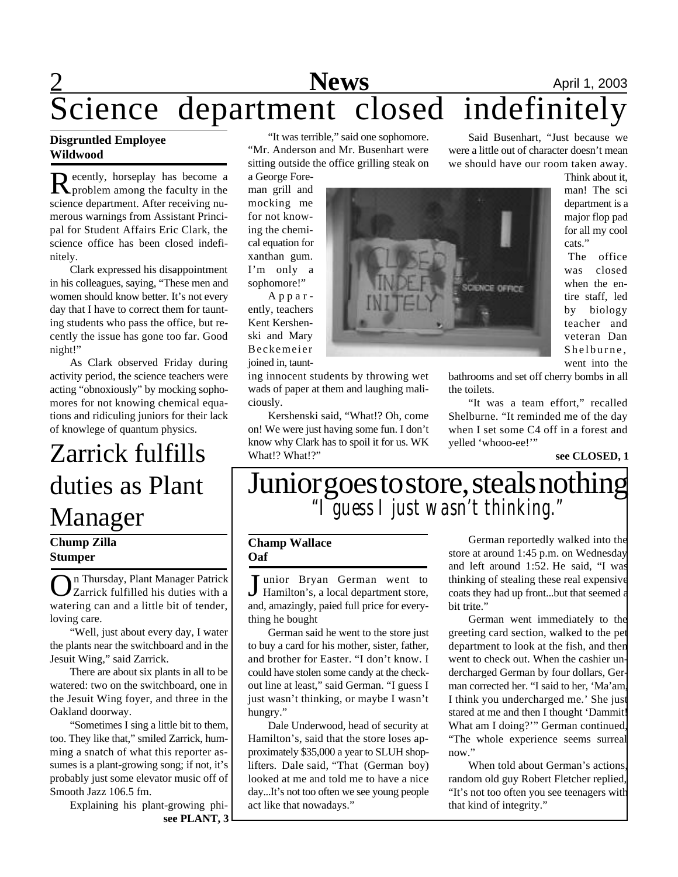# **News** April 1, 2003 Science department closed indefinitely

### **Disgruntled Employee Wildwood**

Recently, horseplay has become a<br>Reproblem among the faculty in the ecently, horseplay has become a science department. After receiving numerous warnings from Assistant Principal for Student Affairs Eric Clark, the science office has been closed indefinitely.

Clark expressed his disappointment in his colleagues, saying, "These men and women should know better. It's not every day that I have to correct them for taunting students who pass the office, but recently the issue has gone too far. Good night!"

As Clark observed Friday during activity period, the science teachers were acting "obnoxiously" by mocking sophomores for not knowing chemical equations and ridiculing juniors for their lack of knowlege of quantum physics.

## Zarrick fulfills duties as Plant Manager

### **Chump Zilla Stumper**

**O**n Thursday, Plant Manager Patrick<br>V Zarrick fulfilled his duties with a<br>watering can and a little bit of tender, n Thursday, Plant Manager Patrick Zarrick fulfilled his duties with a loving care.

"Well, just about every day, I water the plants near the switchboard and in the Jesuit Wing," said Zarrick.

There are about six plants in all to be watered: two on the switchboard, one in the Jesuit Wing foyer, and three in the Oakland doorway.

"Sometimes I sing a little bit to them, too. They like that," smiled Zarrick, humming a snatch of what this reporter assumes is a plant-growing song; if not, it's probably just some elevator music off of Smooth Jazz 106.5 fm.

> Explaining his plant-growing phi**see PLANT, 3**

"It was terrible," said one sophomore.

"Mr. Anderson and Mr. Busenhart were sitting outside the office grilling steak on a George Fore-

man grill and mocking me for not knowing the chemical equation for xanthan gum. I'm only a sophomore!"

A p p a r ently, teachers Kent Kershenski and Mary Beckemeier joined in, taunt-

ing innocent students by throwing wet wads of paper at them and laughing maliciously.

Kershenski said, "What!? Oh, come on! We were just having some fun. I don't know why Clark has to spoil it for us. WK What!? What!?"



Said Busenhart, "Just because we were a little out of character doesn't mean we should have our room taken away.

> Think about it, man! The sci department is a major flop pad for all my cool cats."

The office was closed when the entire staff, led by biology teacher and veteran Dan Shelburne, went into the

bathrooms and set off cherry bombs in all the toilets.

"It was a team effort," recalled Shelburne. "It reminded me of the day when I set some C4 off in a forest and yelled 'whooo-ee!'"

**see CLOSED, 1**

### Junior goes to store, steals nothing *"I guess I just wasn't thinking."*

#### **Champ Wallace Oaf**

Junior Bryan German went to<br>Hamilton's, a local department store, Hamilton's, a local department store, and, amazingly, paied full price for everything he bought

German said he went to the store just to buy a card for his mother, sister, father, and brother for Easter. "I don't know. I could have stolen some candy at the checkout line at least," said German. "I guess I just wasn't thinking, or maybe I wasn't hungry."

Dale Underwood, head of security at Hamilton's, said that the store loses approximately \$35,000 a year to SLUH shoplifters. Dale said, "That (German boy) looked at me and told me to have a nice day...It's not too often we see young people act like that nowadays."

German reportedly walked into the store at around 1:45 p.m. on Wednesday and left around 1:52. He said, "I was thinking of stealing these real expensive coats they had up front...but that seemed a bit trite."

German went immediately to the greeting card section, walked to the pet department to look at the fish, and then went to check out. When the cashier undercharged German by four dollars, German corrected her. "I said to her, 'Ma'am, I think you undercharged me.' She just stared at me and then I thought 'Dammit What am I doing?'" German continued, "The whole experience seems surreal now"

When told about German's actions, random old guy Robert Fletcher replied, "It's not too often you see teenagers with that kind of integrity."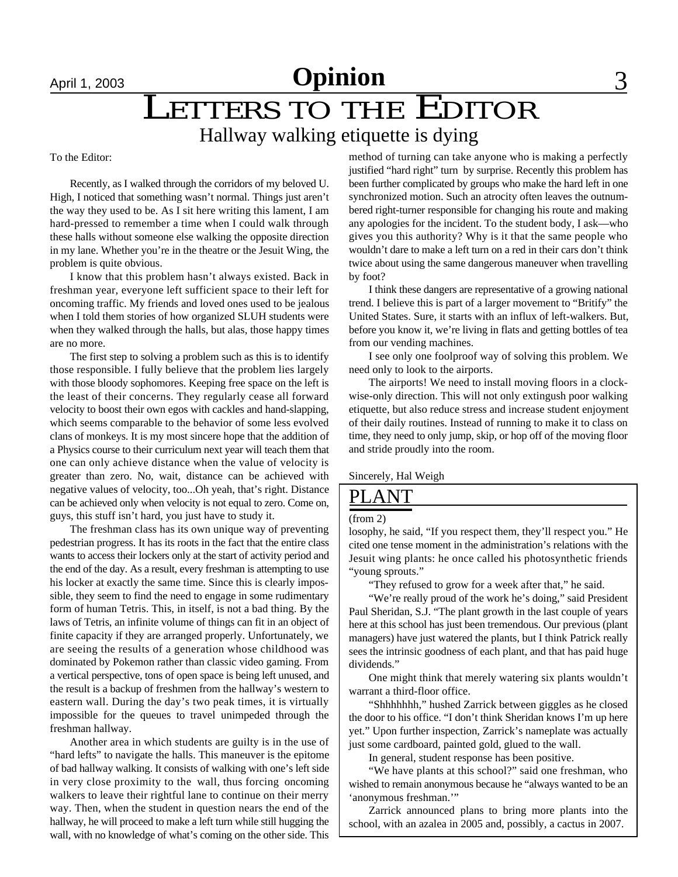## April 1, 2003 **Opinion** 3 LETTERS TO THE EDITOR Hallway walking etiquette is dying

To the Editor:

Recently, as I walked through the corridors of my beloved U. High, I noticed that something wasn't normal. Things just aren't the way they used to be. As I sit here writing this lament, I am hard-pressed to remember a time when I could walk through these halls without someone else walking the opposite direction in my lane. Whether you're in the theatre or the Jesuit Wing, the problem is quite obvious.

I know that this problem hasn't always existed. Back in freshman year, everyone left sufficient space to their left for oncoming traffic. My friends and loved ones used to be jealous when I told them stories of how organized SLUH students were when they walked through the halls, but alas, those happy times are no more.

The first step to solving a problem such as this is to identify those responsible. I fully believe that the problem lies largely with those bloody sophomores. Keeping free space on the left is the least of their concerns. They regularly cease all forward velocity to boost their own egos with cackles and hand-slapping, which seems comparable to the behavior of some less evolved clans of monkeys. It is my most sincere hope that the addition of a Physics course to their curriculum next year will teach them that one can only achieve distance when the value of velocity is greater than zero. No, wait, distance can be achieved with negative values of velocity, too...Oh yeah, that's right. Distance can be achieved only when velocity is not equal to zero. Come on, guys, this stuff isn't hard, you just have to study it.

The freshman class has its own unique way of preventing pedestrian progress. It has its roots in the fact that the entire class wants to access their lockers only at the start of activity period and the end of the day. As a result, every freshman is attempting to use his locker at exactly the same time. Since this is clearly impossible, they seem to find the need to engage in some rudimentary form of human Tetris. This, in itself, is not a bad thing. By the laws of Tetris, an infinite volume of things can fit in an object of finite capacity if they are arranged properly. Unfortunately, we are seeing the results of a generation whose childhood was dominated by Pokemon rather than classic video gaming. From a vertical perspective, tons of open space is being left unused, and the result is a backup of freshmen from the hallway's western to eastern wall. During the day's two peak times, it is virtually impossible for the queues to travel unimpeded through the freshman hallway.

Another area in which students are guilty is in the use of "hard lefts" to navigate the halls. This maneuver is the epitome of bad hallway walking. It consists of walking with one's left side in very close proximity to the wall, thus forcing oncoming walkers to leave their rightful lane to continue on their merry way. Then, when the student in question nears the end of the hallway, he will proceed to make a left turn while still hugging the wall, with no knowledge of what's coming on the other side. This

method of turning can take anyone who is making a perfectly justified "hard right" turn by surprise. Recently this problem has been further complicated by groups who make the hard left in one synchronized motion. Such an atrocity often leaves the outnumbered right-turner responsible for changing his route and making any apologies for the incident. To the student body, I ask—who gives you this authority? Why is it that the same people who wouldn't dare to make a left turn on a red in their cars don't think twice about using the same dangerous maneuver when travelling by foot?

I think these dangers are representative of a growing national trend. I believe this is part of a larger movement to "Britify" the United States. Sure, it starts with an influx of left-walkers. But, before you know it, we're living in flats and getting bottles of tea from our vending machines.

I see only one foolproof way of solving this problem. We need only to look to the airports.

The airports! We need to install moving floors in a clockwise-only direction. This will not only extingush poor walking etiquette, but also reduce stress and increase student enjoyment of their daily routines. Instead of running to make it to class on time, they need to only jump, skip, or hop off of the moving floor and stride proudly into the room.

Sincerely, Hal Weigh

### ANT

#### (from 2)

losophy, he said, "If you respect them, they'll respect you." He cited one tense moment in the administration's relations with the Jesuit wing plants: he once called his photosynthetic friends "young sprouts."

"They refused to grow for a week after that," he said.

"We're really proud of the work he's doing," said President Paul Sheridan, S.J. "The plant growth in the last couple of years here at this school has just been tremendous. Our previous (plant managers) have just watered the plants, but I think Patrick really sees the intrinsic goodness of each plant, and that has paid huge dividends."

One might think that merely watering six plants wouldn't warrant a third-floor office.

"Shhhhhhh," hushed Zarrick between giggles as he closed the door to his office. "I don't think Sheridan knows I'm up here yet." Upon further inspection, Zarrick's nameplate was actually just some cardboard, painted gold, glued to the wall.

In general, student response has been positive.

"We have plants at this school?" said one freshman, who wished to remain anonymous because he "always wanted to be an 'anonymous freshman.'"

Zarrick announced plans to bring more plants into the school, with an azalea in 2005 and, possibly, a cactus in 2007.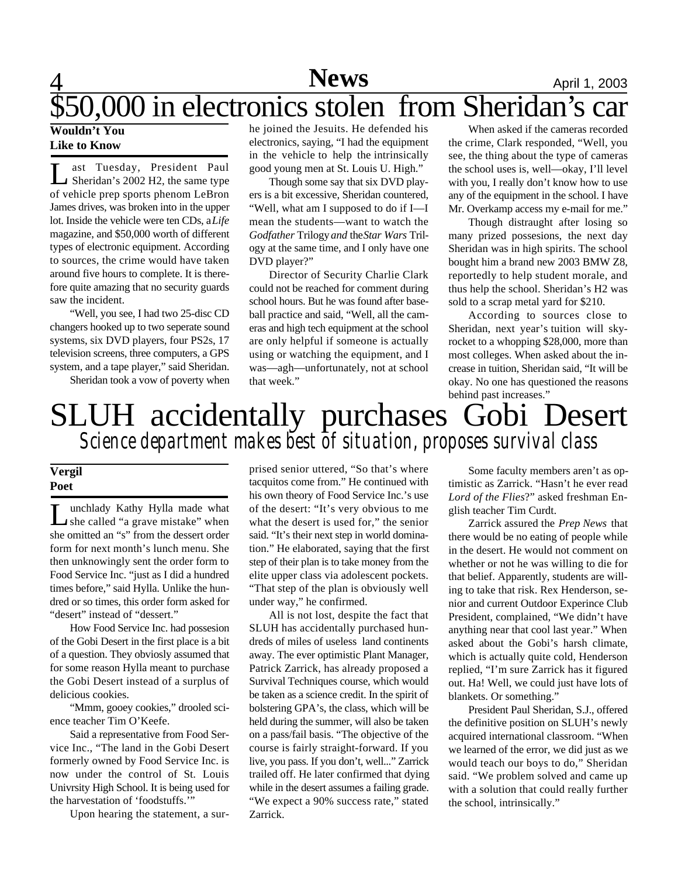### 4 **News** April 1, 2003 **News**

# \$50,000 in electronics stolen from Sheridan's car

### **Wouldn't You Like to Know**

Let Tuesday, President Paul<br>Sheridan's 2002 H2, the same type<br>of vehicle prep sports phenom LeBron ast Tuesday, President Paul Sheridan's 2002 H2, the same type James drives, was broken into in the upper lot. Inside the vehicle were ten CDs, a *Life* magazine, and \$50,000 worth of different types of electronic equipment. According to sources, the crime would have taken around five hours to complete. It is therefore quite amazing that no security guards saw the incident.

"Well, you see, I had two 25-disc CD changers hooked up to two seperate sound systems, six DVD players, four PS2s, 17 television screens, three computers, a GPS system, and a tape player," said Sheridan.

Sheridan took a vow of poverty when

he joined the Jesuits. He defended his electronics, saying, "I had the equipment in the vehicle to help the intrinsically good young men at St. Louis U. High."

Though some say that six DVD players is a bit excessive, Sheridan countered, "Well, what am I supposed to do if I—I mean the students—want to watch the *Godfather* Trilogy *and* the *Star Wars* Trilogy at the same time, and I only have one DVD player?"

Director of Security Charlie Clark could not be reached for comment during school hours. But he was found after baseball practice and said, "Well, all the cameras and high tech equipment at the school are only helpful if someone is actually using or watching the equipment, and I was—agh—unfortunately, not at school that week."

When asked if the cameras recorded the crime, Clark responded, "Well, you see, the thing about the type of cameras the school uses is, well—okay, I'll level with you, I really don't know how to use any of the equipment in the school. I have Mr. Overkamp access my e-mail for me."

Though distraught after losing so many prized possesions, the next day Sheridan was in high spirits. The school bought him a brand new 2003 BMW Z8, reportedly to help student morale, and thus help the school. Sheridan's H2 was sold to a scrap metal yard for \$210.

According to sources close to Sheridan, next year's tuition will skyrocket to a whopping \$28,000, more than most colleges. When asked about the increase in tuition, Sheridan said, "It will be okay. No one has questioned the reasons behind past increases."

### SLUH accidentally purchases Gobi Desert *Science department makes best of situation, proposes survival class*

#### **Vergil Poet**

L unchlady Kathy Hylla made what<br>
she called "a grave mistake" when<br>
she omitted an "s" from the dessert order unchlady Kathy Hylla made what she called "a grave mistake" when form for next month's lunch menu. She then unknowingly sent the order form to Food Service Inc. "just as I did a hundred times before," said Hylla. Unlike the hundred or so times, this order form asked for "desert" instead of "dessert."

How Food Service Inc. had possesion of the Gobi Desert in the first place is a bit of a question. They obviosly assumed that for some reason Hylla meant to purchase the Gobi Desert instead of a surplus of delicious cookies.

"Mmm, gooey cookies," drooled science teacher Tim O'Keefe.

Said a representative from Food Service Inc., "The land in the Gobi Desert formerly owned by Food Service Inc. is now under the control of St. Louis Univrsity High School. It is being used for the harvestation of 'foodstuffs.'"

Upon hearing the statement, a sur-

prised senior uttered, "So that's where tacquitos come from." He continued with his own theory of Food Service Inc.'s use of the desert: "It's very obvious to me what the desert is used for," the senior said. "It's their next step in world domination." He elaborated, saying that the first step of their plan is to take money from the elite upper class via adolescent pockets. "That step of the plan is obviously well under way," he confirmed.

All is not lost, despite the fact that SLUH has accidentally purchased hundreds of miles of useless land continents away. The ever optimistic Plant Manager, Patrick Zarrick, has already proposed a Survival Techniques course, which would be taken as a science credit. In the spirit of bolstering GPA's, the class, which will be held during the summer, will also be taken on a pass/fail basis. "The objective of the course is fairly straight-forward. If you live, you pass. If you don't, well..." Zarrick trailed off. He later confirmed that dying while in the desert assumes a failing grade. "We expect a 90% success rate," stated Zarrick.

Some faculty members aren't as optimistic as Zarrick. "Hasn't he ever read *Lord of the Flies*?" asked freshman English teacher Tim Curdt.

Zarrick assured the *Prep News* that there would be no eating of people while in the desert. He would not comment on whether or not he was willing to die for that belief. Apparently, students are willing to take that risk. Rex Henderson, senior and current Outdoor Experince Club President, complained, "We didn't have anything near that cool last year." When asked about the Gobi's harsh climate, which is actually quite cold, Henderson replied, "I'm sure Zarrick has it figured out. Ha! Well, we could just have lots of blankets. Or something."

President Paul Sheridan, S.J., offered the definitive position on SLUH's newly acquired international classroom. "When we learned of the error, we did just as we would teach our boys to do," Sheridan said. "We problem solved and came up with a solution that could really further the school, intrinsically."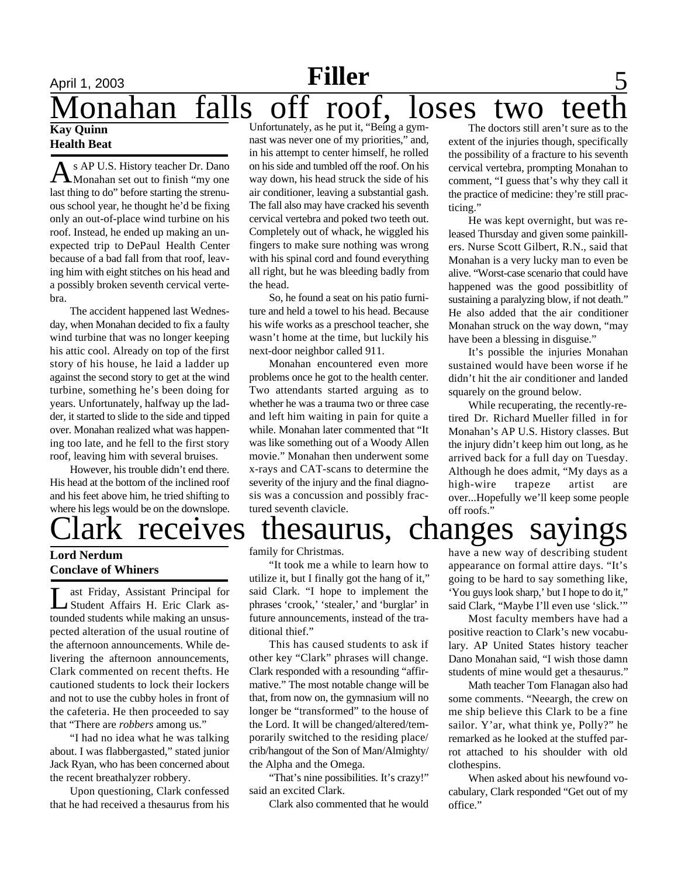# April 1, 2003 **Filler** 5 onahan falls off roof, loses two tee

#### **Kay Quinn Health Beat**

As AP U.S. History teacher Dr. Dano<br>Monahan set out to finish "my one s AP U.S. History teacher Dr. Dano last thing to do" before starting the strenuous school year, he thought he'd be fixing only an out-of-place wind turbine on his roof. Instead, he ended up making an unexpected trip to DePaul Health Center because of a bad fall from that roof, leaving him with eight stitches on his head and a possibly broken seventh cervical vertebra.

The accident happened last Wednesday, when Monahan decided to fix a faulty wind turbine that was no longer keeping his attic cool. Already on top of the first story of his house, he laid a ladder up against the second story to get at the wind turbine, something he's been doing for years. Unfortunately, halfway up the ladder, it started to slide to the side and tipped over. Monahan realized what was happening too late, and he fell to the first story roof, leaving him with several bruises.

However, his trouble didn't end there. His head at the bottom of the inclined roof and his feet above him, he tried shifting to where his legs would be on the downslope.

### **Lord Nerdum Conclave of Whiners**

L ast Friday, Assistant Principal for Student Affairs H. Eric Clark astounded students while making an unsuspected alteration of the usual routine of the afternoon announcements. While delivering the afternoon announcements, Clark commented on recent thefts. He cautioned students to lock their lockers and not to use the cubby holes in front of the cafeteria. He then proceeded to say that "There are *robbers* among us."

"I had no idea what he was talking about. I was flabbergasted," stated junior Jack Ryan, who has been concerned about the recent breathalyzer robbery.

Upon questioning, Clark confessed that he had received a thesaurus from his

Unfortunately, as he put it, "Being a gymnast was never one of my priorities," and, in his attempt to center himself, he rolled on his side and tumbled off the roof. On his way down, his head struck the side of his air conditioner, leaving a substantial gash. The fall also may have cracked his seventh cervical vertebra and poked two teeth out. Completely out of whack, he wiggled his fingers to make sure nothing was wrong with his spinal cord and found everything all right, but he was bleeding badly from the head.

So, he found a seat on his patio furniture and held a towel to his head. Because his wife works as a preschool teacher, she wasn't home at the time, but luckily his next-door neighbor called 911.

Monahan encountered even more problems once he got to the health center. Two attendants started arguing as to whether he was a trauma two or three case and left him waiting in pain for quite a while. Monahan later commented that "It was like something out of a Woody Allen movie." Monahan then underwent some x-rays and CAT-scans to determine the severity of the injury and the final diagnosis was a concussion and possibly fractured seventh clavicle.

The doctors still aren't sure as to the extent of the injuries though, specifically the possibility of a fracture to his seventh cervical vertebra, prompting Monahan to comment, "I guess that's why they call it the practice of medicine: they're still practicing."

He was kept overnight, but was released Thursday and given some painkillers. Nurse Scott Gilbert, R.N., said that Monahan is a very lucky man to even be alive. "Worst-case scenario that could have happened was the good possibitlity of sustaining a paralyzing blow, if not death." He also added that the air conditioner Monahan struck on the way down, "may have been a blessing in disguise."

It's possible the injuries Monahan sustained would have been worse if he didn't hit the air conditioner and landed squarely on the ground below.

While recuperating, the recently-retired Dr. Richard Mueller filled in for Monahan's AP U.S. History classes. But the injury didn't keep him out long, as he arrived back for a full day on Tuesday. Although he does admit, "My days as a high-wire trapeze artist are over...Hopefully we'll keep some people off roofs."

## receives thesaurus, changes sayings

family for Christmas.

"It took me a while to learn how to utilize it, but I finally got the hang of it," said Clark. "I hope to implement the phrases 'crook,' 'stealer,' and 'burglar' in future announcements, instead of the traditional thief."

This has caused students to ask if other key "Clark" phrases will change. Clark responded with a resounding "affirmative." The most notable change will be that, from now on, the gymnasium will no longer be "transformed" to the house of the Lord. It will be changed/altered/temporarily switched to the residing place/ crib/hangout of the Son of Man/Almighty/ the Alpha and the Omega.

"That's nine possibilities. It's crazy!" said an excited Clark.

Clark also commented that he would

have a new way of describing student appearance on formal attire days. "It's going to be hard to say something like, 'You guys look sharp,' but I hope to do it," said Clark, "Maybe I'll even use 'slick.'"

Most faculty members have had a positive reaction to Clark's new vocabulary. AP United States history teacher Dano Monahan said, "I wish those damn students of mine would get a thesaurus."

Math teacher Tom Flanagan also had some comments. "Neeargh, the crew on me ship believe this Clark to be a fine sailor. Y'ar, what think ye, Polly?" he remarked as he looked at the stuffed parrot attached to his shoulder with old clothespins.

When asked about his newfound vocabulary, Clark responded "Get out of my office."